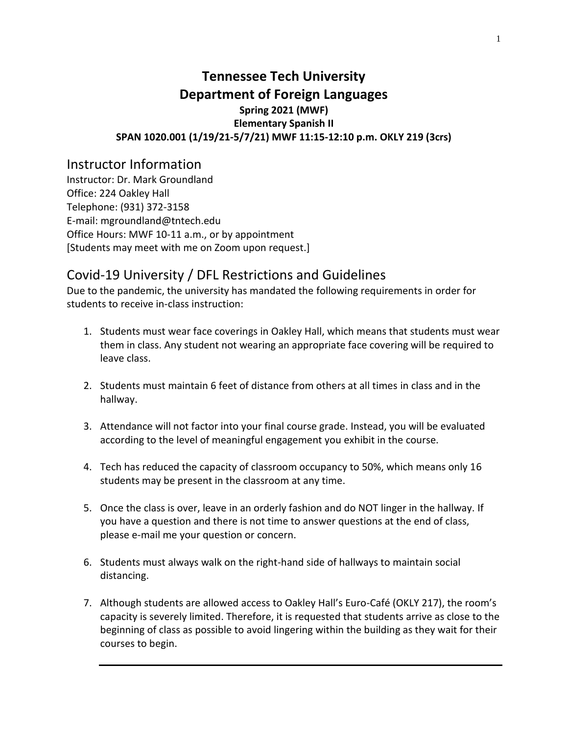# **Tennessee Tech University Department of Foreign Languages Spring 2021 (MWF) Elementary Spanish II SPAN 1020.001 (1/19/21-5/7/21) MWF 11:15-12:10 p.m. OKLY 219 (3crs)**

# Instructor Information

Instructor: Dr. Mark Groundland Office: 224 Oakley Hall Telephone: (931) 372-3158 E-mail: mgroundland@tntech.edu Office Hours: MWF 10-11 a.m., or by appointment [Students may meet with me on Zoom upon request.]

# Covid-19 University / DFL Restrictions and Guidelines

Due to the pandemic, the university has mandated the following requirements in order for students to receive in-class instruction:

- 1. Students must wear face coverings in Oakley Hall, which means that students must wear them in class. Any student not wearing an appropriate face covering will be required to leave class.
- 2. Students must maintain 6 feet of distance from others at all times in class and in the hallway.
- 3. Attendance will not factor into your final course grade. Instead, you will be evaluated according to the level of meaningful engagement you exhibit in the course.
- 4. Tech has reduced the capacity of classroom occupancy to 50%, which means only 16 students may be present in the classroom at any time.
- 5. Once the class is over, leave in an orderly fashion and do NOT linger in the hallway. If you have a question and there is not time to answer questions at the end of class, please e-mail me your question or concern.
- 6. Students must always walk on the right-hand side of hallways to maintain social distancing.
- 7. Although students are allowed access to Oakley Hall's Euro-Café (OKLY 217), the room's capacity is severely limited. Therefore, it is requested that students arrive as close to the beginning of class as possible to avoid lingering within the building as they wait for their courses to begin.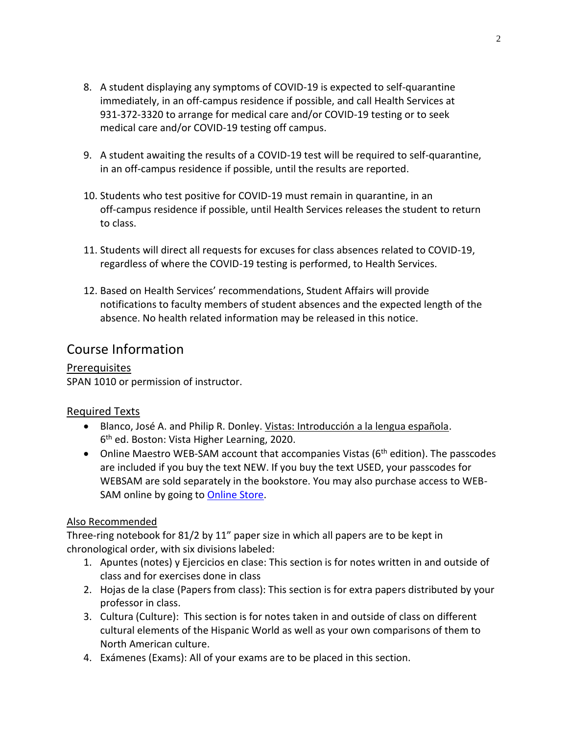- 8. A student displaying any symptoms of COVID-19 is expected to self-quarantine immediately, in an off-campus residence if possible, and call Health Services at 931-372-3320 to arrange for medical care and/or COVID-19 testing or to seek medical care and/or COVID-19 testing off campus.
- 9. A student awaiting the results of a COVID-19 test will be required to self-quarantine, in an off-campus residence if possible, until the results are reported.
- 10. Students who test positive for COVID-19 must remain in quarantine, in an off-campus residence if possible, until Health Services releases the student to return to class.
- 11. Students will direct all requests for excuses for class absences related to COVID-19, regardless of where the COVID-19 testing is performed, to Health Services.
- 12. Based on Health Services' recommendations, Student Affairs will provide notifications to faculty members of student absences and the expected length of the absence. No health related information may be released in this notice.

# Course Information

## **Prerequisites**

SPAN 1010 or permission of instructor.

# Required Texts

- Blanco, José A. and Philip R. Donley. Vistas: Introducción a la lengua española. 6<sup>th</sup> ed. Boston: Vista Higher Learning, 2020.
- Online Maestro WEB-SAM account that accompanies Vistas (6<sup>th</sup> edition). The passcodes are included if you buy the text NEW. If you buy the text USED, your passcodes for WEBSAM are sold separately in the bookstore. You may also purchase access to WEB-SAM online by going to [Online Store.](http://vistahigherlearning.com/store/tntech.htm/)

## Also Recommended

Three-ring notebook for 81/2 by 11" paper size in which all papers are to be kept in chronological order, with six divisions labeled:

- 1. Apuntes (notes) y Ejercicios en clase: This section is for notes written in and outside of class and for exercises done in class
- 2. Hojas de la clase (Papers from class): This section is for extra papers distributed by your professor in class.
- 3. Cultura (Culture): This section is for notes taken in and outside of class on different cultural elements of the Hispanic World as well as your own comparisons of them to North American culture.
- 4. Exámenes (Exams): All of your exams are to be placed in this section.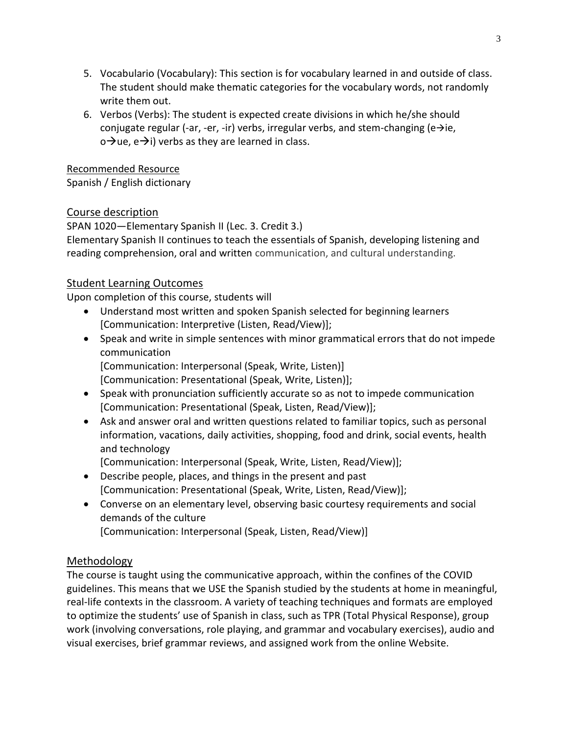- 5. Vocabulario (Vocabulary): This section is for vocabulary learned in and outside of class. The student should make thematic categories for the vocabulary words, not randomly write them out.
- 6. Verbos (Verbs): The student is expected create divisions in which he/she should conjugate regular (-ar, -er, -ir) verbs, irregular verbs, and stem-changing (e $\rightarrow$ ie, o→ue, e→i) verbs as they are learned in class.

## Recommended Resource

Spanish / English dictionary

# Course description

SPAN 1020—Elementary Spanish II (Lec. 3. Credit 3.)

Elementary Spanish II continues to teach the essentials of Spanish, developing listening and reading comprehension, oral and written communication, and cultural understanding.

# Student Learning Outcomes

Upon completion of this course, students will

- Understand most written and spoken Spanish selected for beginning learners [Communication: Interpretive (Listen, Read/View)];
- Speak and write in simple sentences with minor grammatical errors that do not impede communication [Communication: Interpersonal (Speak, Write, Listen)] [Communication: Presentational (Speak, Write, Listen)];
- Speak with pronunciation sufficiently accurate so as not to impede communication [Communication: Presentational (Speak, Listen, Read/View)];
- Ask and answer oral and written questions related to familiar topics, such as personal information, vacations, daily activities, shopping, food and drink, social events, health and technology

[Communication: Interpersonal (Speak, Write, Listen, Read/View)];

- Describe people, places, and things in the present and past [Communication: Presentational (Speak, Write, Listen, Read/View)];
- Converse on an elementary level, observing basic courtesy requirements and social demands of the culture

[Communication: Interpersonal (Speak, Listen, Read/View)]

# Methodology

The course is taught using the communicative approach, within the confines of the COVID guidelines. This means that we USE the Spanish studied by the students at home in meaningful, real-life contexts in the classroom. A variety of teaching techniques and formats are employed to optimize the students' use of Spanish in class, such as TPR (Total Physical Response), group work (involving conversations, role playing, and grammar and vocabulary exercises), audio and visual exercises, brief grammar reviews, and assigned work from the online Website.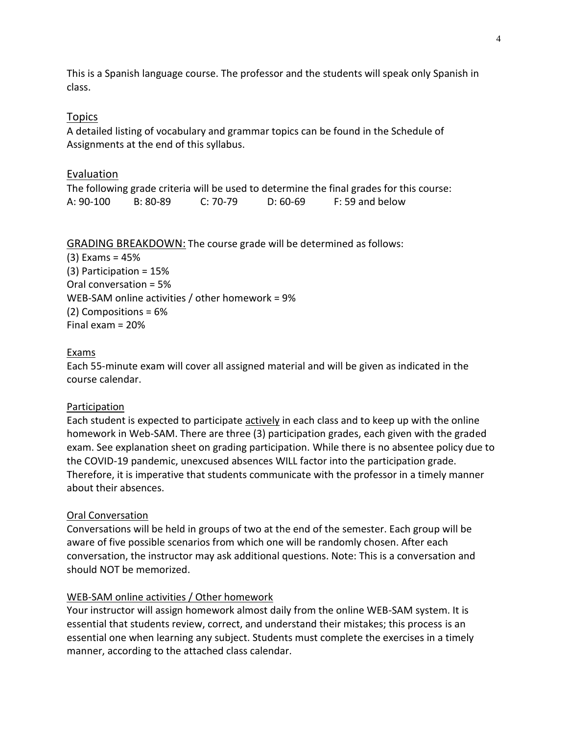This is a Spanish language course. The professor and the students will speak only Spanish in class.

### Topics

A detailed listing of vocabulary and grammar topics can be found in the Schedule of Assignments at the end of this syllabus.

#### Evaluation

The following grade criteria will be used to determine the final grades for this course: A: 90-100 B: 80-89 C: 70-79 D: 60-69 F: 59 and below

#### GRADING BREAKDOWN: The course grade will be determined as follows:

(3) Exams = 45% (3) Participation = 15% Oral conversation = 5% WEB-SAM online activities / other homework = 9% (2) Compositions = 6% Final exam = 20%

#### Exams

Each 55-minute exam will cover all assigned material and will be given as indicated in the course calendar.

#### Participation

Each student is expected to participate actively in each class and to keep up with the online homework in Web-SAM. There are three (3) participation grades, each given with the graded exam. See explanation sheet on grading participation. While there is no absentee policy due to the COVID-19 pandemic, unexcused absences WILL factor into the participation grade. Therefore, it is imperative that students communicate with the professor in a timely manner about their absences.

#### Oral Conversation

Conversations will be held in groups of two at the end of the semester. Each group will be aware of five possible scenarios from which one will be randomly chosen. After each conversation, the instructor may ask additional questions. Note: This is a conversation and should NOT be memorized.

#### WEB-SAM online activities / Other homework

Your instructor will assign homework almost daily from the online WEB-SAM system. It is essential that students review, correct, and understand their mistakes; this process is an essential one when learning any subject. Students must complete the exercises in a timely manner, according to the attached class calendar.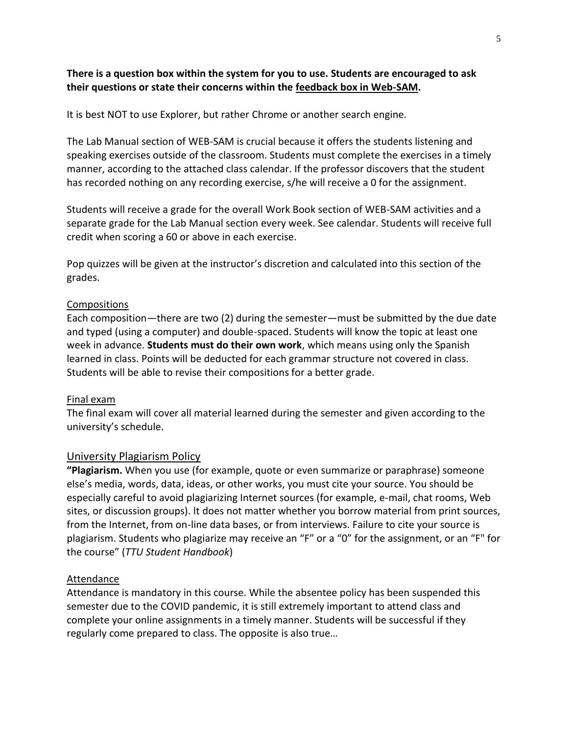### **There is a question box within the system for you to use. Students are encouraged to ask their questions or state their concerns within the feedback box in Web-SAM.**

It is best NOT to use Explorer, but rather Chrome or another search engine.

The Lab Manual section of WEB-SAM is crucial because it offers the students listening and speaking exercises outside of the classroom. Students must complete the exercises in a timely manner, according to the attached class calendar. If the professor discovers that the student has recorded nothing on any recording exercise, s/he will receive a 0 for the assignment.

Students will receive a grade for the overall Work Book section of WEB-SAM activities and a separate grade for the Lab Manual section every week. See calendar. Students will receive full credit when scoring a 60 or above in each exercise.

Pop quizzes will be given at the instructor's discretion and calculated into this section of the grades.

#### Compositions

Each composition—there are two (2) during the semester—must be submitted by the due date and typed (using a computer) and double-spaced. Students will know the topic at least one week in advance. **Students must do their own work**, which means using only the Spanish learned in class. Points will be deducted for each grammar structure not covered in class. Students will be able to revise their compositions for a better grade.

#### Final exam

The final exam will cover all material learned during the semester and given according to the university's schedule.

### University Plagiarism Policy

**"Plagiarism.** When you use (for example, quote or even summarize or paraphrase) someone else's media, words, data, ideas, or other works, you must cite your source. You should be especially careful to avoid plagiarizing Internet sources (for example, e-mail, chat rooms, Web sites, or discussion groups). It does not matter whether you borrow material from print sources, from the Internet, from on-line data bases, or from interviews. Failure to cite your source is plagiarism. Students who plagiarize may receive an "F" or a "0" for the assignment, or an "F" for the course" (*TTU Student Handbook*)

#### Attendance

Attendance is mandatory in this course. While the absentee policy has been suspended this semester due to the COVID pandemic, it is still extremely important to attend class and complete your online assignments in a timely manner. Students will be successful if they regularly come prepared to class. The opposite is also true…